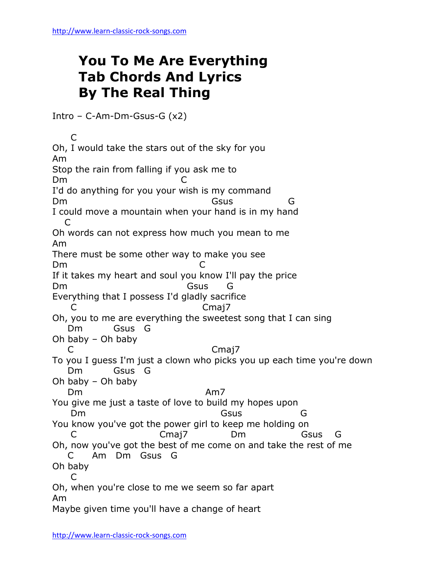## **You To Me Are Everything Tab Chords And Lyrics By The Real Thing**

Intro – C-Am-Dm-Gsus-G (x2)

 C Oh, I would take the stars out of the sky for you Am Stop the rain from falling if you ask me to D<sub>m</sub> I'd do anything for you your wish is my command Dm Gsus G I could move a mountain when your hand is in my hand C Oh words can not express how much you mean to me Am There must be some other way to make you see Dm C If it takes my heart and soul you know I'll pay the price Dm Gsus G Everything that I possess I'd gladly sacrifice C C Cmaj7 Oh, you to me are everything the sweetest song that I can sing Dm Gsus G Oh baby – Oh baby C Canadian Comai7 To you I guess I'm just a clown who picks you up each time you're down Dm Gsus G Oh baby – Oh baby Dm Am7 You give me just a taste of love to build my hopes upon Dm Gsus G You know you've got the power girl to keep me holding on C Cmaj7 Dm Gsus G Oh, now you've got the best of me come on and take the rest of me C Am Dm Gsus G Oh baby C Oh, when you're close to me we seem so far apart Am Maybe given time you'll have a change of heart